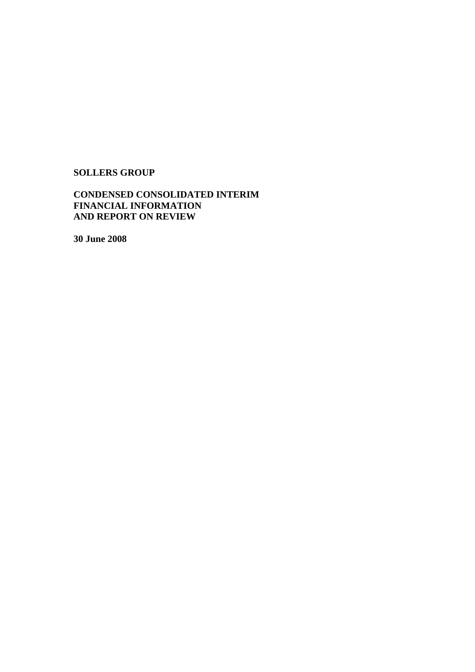# **SOLLERS GROUP**

# **CONDENSED CONSOLIDATED INTERIM FINANCIAL INFORMATION AND REPORT ON REVIEW**

**30 June 2008**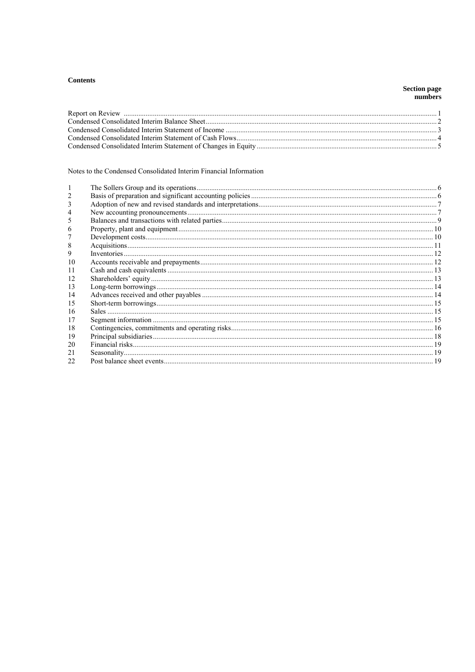# **Contents**

# Section page<br>numbers

# Notes to the Condensed Consolidated Interim Financial Information

| h  |    |
|----|----|
|    |    |
| 8  |    |
| 9  |    |
| 10 |    |
| 11 |    |
| 12 |    |
| 13 |    |
| 14 |    |
| 15 |    |
| 16 |    |
| 17 |    |
| 18 |    |
| 19 |    |
| 20 |    |
| 21 |    |
| 22 | 19 |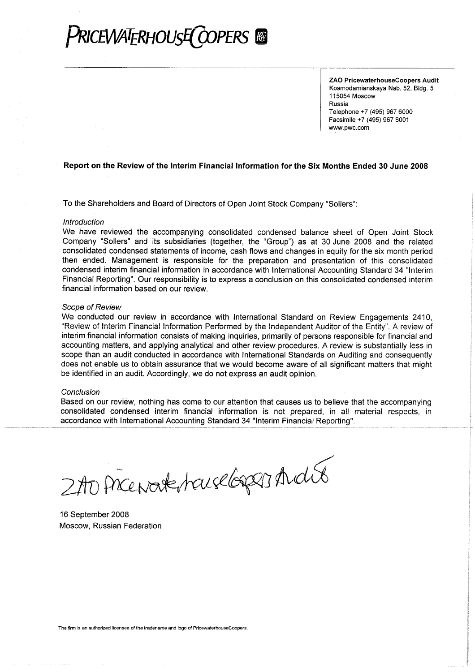

ZAO PricewaterhouseCoopers Audit Kosmodamianskava Nab. 52. Bldg. 5 115054 Moscow Russia Telephone +7 (495) 967 6000 Facsimile +7 (495) 967 6001 www.pwc.com

# Report on the Review of the Interim Financial Information for the Six Months Ended 30 June 2008

To the Shareholders and Board of Directors of Open Joint Stock Company "Sollers":

#### Introduction

We have reviewed the accompanying consolidated condensed balance sheet of Open Joint Stock Company "Sollers" and its subsidiaries (together, the "Group") as at 30 June 2008 and the related consolidated condensed statements of income, cash flows and changes in equity for the six month period then ended. Management is responsible for the preparation and presentation of this consolidated condensed interim financial information in accordance with International Accounting Standard 34 "Interim Financial Reporting". Our responsibility is to express a conclusion on this consolidated condensed interim financial information based on our review.

#### Scope of Review

We conducted our review in accordance with International Standard on Review Engagements 2410, "Review of Interim Financial Information Performed by the Independent Auditor of the Entity". A review of interim financial information consists of making inquiries, primarily of persons responsible for financial and accounting matters, and applying analytical and other review procedures. A review is substantially less in scope than an audit conducted in accordance with International Standards on Auditing and consequently does not enable us to obtain assurance that we would become aware of all significant matters that might be identified in an audit. Accordingly, we do not express an audit opinion.

#### Conclusion

Based on our review, nothing has come to our attention that causes us to believe that the accompanying consolidated condensed interim financial information is not prepared, in all material respects, in accordance with International Accounting Standard 34 "Interim Financial Reporting".

2 AD PACENAR HOUSE GODDI And 08

16 September 2008 Moscow, Russian Federation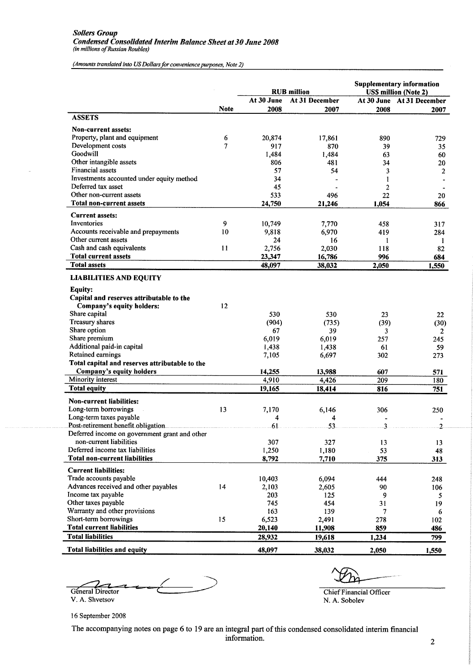(Amounts translated into US Dollars for convenience purposes, Note 2)

|                                                              |             |            | <b>RUB</b> million | <b>Supplementary information</b><br><b>USS million (Note 2)</b> |                           |  |
|--------------------------------------------------------------|-------------|------------|--------------------|-----------------------------------------------------------------|---------------------------|--|
|                                                              |             | At 30 June | At 31 December     |                                                                 | At 30 June At 31 December |  |
|                                                              | <b>Note</b> | 2008       | 2007               | 2008                                                            | 2007                      |  |
| <b>ASSETS</b>                                                |             |            |                    |                                                                 |                           |  |
| Non-current assets:                                          |             |            |                    |                                                                 |                           |  |
| Property, plant and equipment                                | 6           | 20,874     | 17,861             | 890                                                             | 729                       |  |
| Development costs                                            | 7           | 917        | 870                | 39                                                              | 35                        |  |
| Goodwill                                                     |             | 1,484      | 1,484              | 63                                                              | 60                        |  |
| Other intangible assets                                      |             | 806        | 481                | 34                                                              | 20                        |  |
| <b>Financial assets</b>                                      |             | 57         | 54                 | 3                                                               | 2                         |  |
| Investments accounted under equity method                    |             | 34         |                    | 1                                                               |                           |  |
| Deferred tax asset                                           |             | 45         |                    | 2                                                               |                           |  |
| Other non-current assets                                     |             | 533        | 496                | 22                                                              | 20                        |  |
| Total non-current assets                                     |             | 24,750     | 21,246             | 1,054                                                           | 866                       |  |
| <b>Current assets:</b>                                       |             |            |                    |                                                                 |                           |  |
| Inventories                                                  | 9           | 10,749     | 7,770              | 458                                                             | 317                       |  |
| Accounts receivable and prepayments                          | 10          | 9,818      | 6,970              | 419                                                             | 284                       |  |
| Other current assets                                         |             | 24         | 16                 | 1                                                               | 1                         |  |
| Cash and cash equivalents                                    | 11          | 2,756      | 2,030              | 118                                                             | 82                        |  |
| <b>Total current assets</b>                                  |             | 23,347     | 16,786             | 996                                                             | 684                       |  |
| <b>Total assets</b>                                          |             | 48,097     | 38,032             | 2,050                                                           | 1,550                     |  |
| <b>LIABILITIES AND EQUITY</b>                                |             |            |                    |                                                                 |                           |  |
| <b>Equity:</b>                                               |             |            |                    |                                                                 |                           |  |
| Capital and reserves attributable to the                     |             |            |                    |                                                                 |                           |  |
| Company's equity holders:                                    | 12          |            |                    |                                                                 |                           |  |
| Share capital                                                |             | 530        | 530                | 23                                                              | 22                        |  |
| Treasury shares                                              |             | (904)      | (735)              | (39)                                                            | (30)                      |  |
| Share option                                                 |             | 67         | 39                 | 3                                                               | 2                         |  |
| Share premium                                                |             | 6,019      | 6,019              | 257                                                             | 245                       |  |
| Additional paid-in capital                                   |             | 1,438      | 1,438              | 61                                                              | 59                        |  |
| Retained earnings                                            |             | 7,105      | 6,697              | 302                                                             | 273                       |  |
| Total capital and reserves attributable to the               |             |            |                    |                                                                 |                           |  |
| Company's equity holders                                     |             | 14,255     | 13,988             | 607                                                             | 571                       |  |
| Minority interest                                            |             | 4,910      | 4,426              | 209                                                             | 180                       |  |
| <b>Total equity</b>                                          |             | 19,165     | 18,414             | 816                                                             | 751                       |  |
| <b>Non-current liabilities:</b>                              |             |            |                    |                                                                 |                           |  |
| Long-term borrowings                                         | 13          | 7,170      | 6,146              | 306                                                             | 250                       |  |
| Long-term taxes payable                                      |             | 4          | 4                  |                                                                 |                           |  |
| Post-retirement benefit obligation                           |             | 61         | 53                 | 3                                                               | $\overline{2}$            |  |
| Deferred income on government grant and other                |             |            |                    |                                                                 |                           |  |
| non-current liabilities                                      |             | 307        | 327                | 13                                                              | 13                        |  |
| Deferred income tax liabilities                              |             | 1,250      | 1,180              | 53                                                              | 48                        |  |
| <b>Total non-current liabilities</b>                         |             | 8,792      | 7,710              | 375                                                             | 313                       |  |
| <b>Current liabilities:</b>                                  |             |            |                    |                                                                 |                           |  |
| Trade accounts payable                                       |             | 10,403     | 6,094              | 444                                                             | 248                       |  |
| Advances received and other payables                         | 14          | 2,103      | 2,605              | 90                                                              | 106                       |  |
| Income tax payable                                           |             | 203        | 125                | 9                                                               | 5                         |  |
| Other taxes payable                                          |             | 745        | 454                | 31                                                              | 19                        |  |
| Warranty and other provisions                                |             | 163        | 139                | 7                                                               | 6                         |  |
| Short-term borrowings                                        | 15          | 6,523      | 2,491              | 278                                                             | 102                       |  |
| <b>Total current liabilities</b><br><b>Total liabilities</b> |             | 20,140     | 11,908             | 859                                                             | 486                       |  |
|                                                              |             | 28,932     | 19,618             | 1,234                                                           | 799                       |  |
| <b>Total liabilities and equity</b>                          |             | 48,097     | 38,032             | 2,050                                                           | 1,550                     |  |

Géneral Director V. A. Shvetsov

**Chief Financial Officer** N. A. Sobolev

16 September 2008

The accompanying notes on page 6 to 19 are an integral part of this condensed consolidated interim financial information.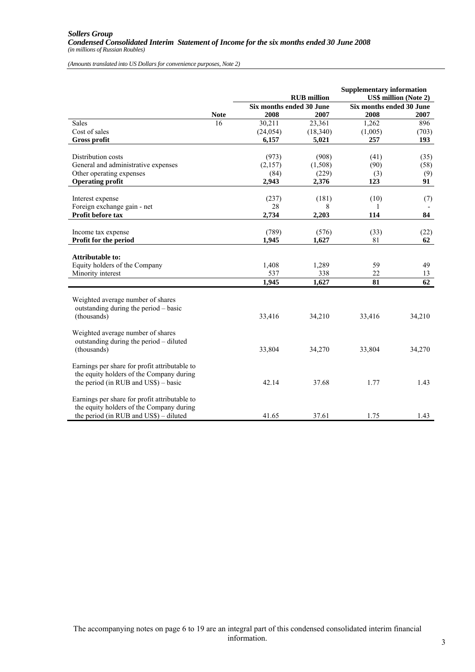*(Amounts translated into US Dollars for convenience purposes, Note 2)*

|                                                                                                                                     |                   |                                  | <b>RUB</b> million    | <b>Supplementary information</b> | <b>US\$ million (Note 2)</b> |
|-------------------------------------------------------------------------------------------------------------------------------------|-------------------|----------------------------------|-----------------------|----------------------------------|------------------------------|
|                                                                                                                                     |                   | Six months ended 30 June<br>2008 | 2007                  | Six months ended 30 June         |                              |
| <b>Sales</b>                                                                                                                        | <b>Note</b><br>16 | 30,211                           | 23,361                | 2008<br>1,262                    | 2007<br>896                  |
| Cost of sales                                                                                                                       |                   | (24, 054)                        | (18,340)              | (1,005)                          | (703)                        |
| <b>Gross profit</b>                                                                                                                 |                   | 6,157                            | 5,021                 | 257                              | 193                          |
|                                                                                                                                     |                   |                                  |                       |                                  |                              |
| Distribution costs                                                                                                                  |                   | (973)                            | (908)                 | (41)                             | (35)                         |
| General and administrative expenses                                                                                                 |                   | (2,157)                          | (1,508)               | (90)                             | (58)                         |
| Other operating expenses                                                                                                            |                   | (84)                             | (229)                 | (3)                              | (9)                          |
| <b>Operating profit</b>                                                                                                             |                   | 2,943                            | 2,376                 | 123                              | 91                           |
|                                                                                                                                     |                   |                                  |                       |                                  |                              |
| Interest expense                                                                                                                    |                   | (237)                            | (181)                 | (10)                             | (7)                          |
| Foreign exchange gain - net                                                                                                         |                   | 28                               | 8                     |                                  |                              |
| Profit before tax                                                                                                                   |                   | 2,734                            | 2,203                 | 114                              | 84                           |
|                                                                                                                                     |                   |                                  |                       |                                  |                              |
| Income tax expense                                                                                                                  |                   | (789)                            | (576)                 | (33)                             | (22)                         |
| Profit for the period                                                                                                               |                   | 1,945                            | 1,627                 | 81                               | 62                           |
| Attributable to:<br>Equity holders of the Company<br>Minority interest                                                              |                   | 1,408<br>537<br>1,945            | 1,289<br>338<br>1,627 | 59<br>22<br>81                   | 49<br>13<br>62               |
|                                                                                                                                     |                   |                                  |                       |                                  |                              |
| Weighted average number of shares<br>outstanding during the period - basic<br>(thousands)                                           |                   | 33,416                           | 34,210                | 33,416                           | 34,210                       |
| Weighted average number of shares<br>outstanding during the period - diluted<br>(thousands)                                         |                   | 33,804                           | 34,270                | 33,804                           | 34,270                       |
| Earnings per share for profit attributable to<br>the equity holders of the Company during<br>the period (in RUB and US\$) – basic   |                   | 42.14                            | 37.68                 | 1.77                             | 1.43                         |
| Earnings per share for profit attributable to<br>the equity holders of the Company during<br>the period (in RUB and US\$) - diluted |                   | 41.65                            | 37.61                 | 1.75                             | 1.43                         |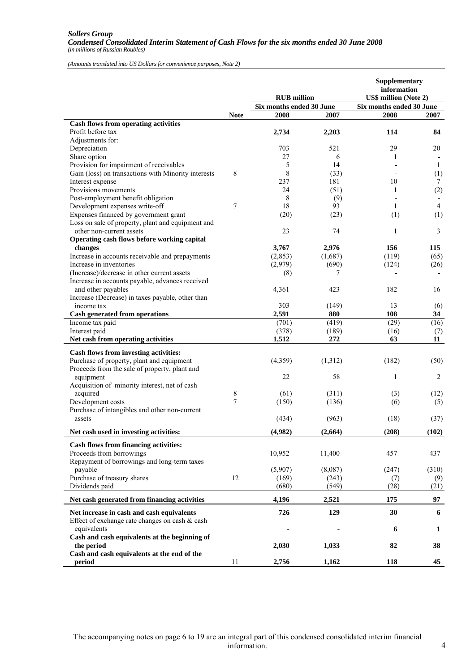#### *Sollers Group Condensed Consolidated Interim Statement of Cash Flows for the six months ended 30 June 2008 (in millions of Russian Roubles)*

*(Amounts translated into US Dollars for convenience purposes, Note 2)*

|                                                               |             | <b>RUB</b> million       |                | Supplementary<br>information<br><b>US\$ million (Note 2)</b> |                |  |
|---------------------------------------------------------------|-------------|--------------------------|----------------|--------------------------------------------------------------|----------------|--|
|                                                               |             | Six months ended 30 June |                | Six months ended 30 June                                     |                |  |
|                                                               | <b>Note</b> | 2008                     | 2007           | 2008                                                         | 2007           |  |
| <b>Cash flows from operating activities</b>                   |             |                          |                |                                                              |                |  |
| Profit before tax                                             |             | 2,734                    | 2,203          | 114                                                          | 84             |  |
| Adjustments for:                                              |             |                          |                |                                                              |                |  |
| Depreciation                                                  |             | 703                      | 521            | 29                                                           | 20             |  |
| Share option                                                  |             | 27                       | 6              | 1                                                            |                |  |
| Provision for impairment of receivables                       |             | 5                        | 14             |                                                              | 1              |  |
| Gain (loss) on transactions with Minority interests           | 8           | 8                        | (33)           |                                                              | (1)            |  |
| Interest expense                                              |             | 237                      | 181            | 10                                                           | $\tau$         |  |
| Provisions movements                                          |             | 24                       | (51)           | 1                                                            | (2)            |  |
| Post-employment benefit obligation                            |             | 8                        | (9)            |                                                              |                |  |
| Development expenses write-off                                | 7           | 18                       | 93             | 1                                                            | $\overline{4}$ |  |
| Expenses financed by government grant                         |             | (20)                     | (23)           | (1)                                                          | (1)            |  |
| Loss on sale of property, plant and equipment and             |             |                          |                |                                                              |                |  |
| other non-current assets                                      |             | 23                       | 74             | 1                                                            | $\overline{3}$ |  |
| Operating cash flows before working capital                   |             |                          |                |                                                              |                |  |
| changes                                                       |             | 3,767                    | 2,976          | 156                                                          | 115            |  |
| Increase in accounts receivable and prepayments               |             | (2, 853)                 | (1,687)        | (119)                                                        | (65)           |  |
| Increase in inventories                                       |             | (2,979)                  | (690)          | (124)                                                        | (26)           |  |
| (Increase)/decrease in other current assets                   |             | (8)                      | 7              |                                                              |                |  |
| Increase in accounts payable, advances received               |             |                          |                |                                                              |                |  |
| and other payables                                            |             | 4,361                    | 423            | 182                                                          | 16             |  |
| Increase (Decrease) in taxes payable, other than              |             |                          |                |                                                              |                |  |
| income tax                                                    |             | 303                      | (149)          | 13                                                           | (6)            |  |
| Cash generated from operations                                |             | 2,591                    | 880            | 108                                                          | 34             |  |
| Income tax paid                                               |             | (701)                    | (419)          | (29)                                                         | (16)           |  |
| Interest paid                                                 |             | (378)                    | (189)          | (16)                                                         | (7)            |  |
| Net cash from operating activities                            |             | 1,512                    | 272            | 63                                                           | 11             |  |
| Cash flows from investing activities:                         |             |                          |                |                                                              |                |  |
| Purchase of property, plant and equipment                     |             | (4,359)                  | (1,312)        | (182)                                                        | (50)           |  |
| Proceeds from the sale of property, plant and                 |             |                          |                |                                                              |                |  |
| equipment                                                     |             | 22                       | 58             | $\mathbf{1}$                                                 | 2              |  |
| Acquisition of minority interest, net of cash                 |             |                          |                |                                                              |                |  |
| acquired                                                      | 8           | (61)                     | (311)          | (3)                                                          | (12)           |  |
| Development costs                                             | 7           | (150)                    | (136)          | (6)                                                          | (5)            |  |
|                                                               |             |                          |                |                                                              |                |  |
| Purchase of intangibles and other non-current<br>assets       |             | (434)                    | (963)          | (18)                                                         |                |  |
|                                                               |             |                          |                |                                                              | (37)           |  |
| Net cash used in investing activities:                        |             | (4,982)                  | (2,664)        | (208)                                                        | (102)          |  |
|                                                               |             |                          |                |                                                              |                |  |
| Cash flows from financing activities:                         |             | 10,952                   |                |                                                              |                |  |
| Proceeds from borrowings                                      |             |                          | 11,400         | 457                                                          | 437            |  |
| Repayment of borrowings and long-term taxes                   |             |                          |                |                                                              |                |  |
| payable<br>Purchase of treasury shares                        | 12          | (5,907)<br>(169)         | (8,087)        | (247)                                                        | (310)          |  |
| Dividends paid                                                |             | (680)                    | (243)<br>(549) | (7)<br>(28)                                                  | (9)            |  |
|                                                               |             |                          |                |                                                              | (21)           |  |
| Net cash generated from financing activities                  |             | 4,196                    | 2,521          | 175                                                          | 97             |  |
| Net increase in cash and cash equivalents                     |             | 726                      | 129            | 30                                                           | 6              |  |
| Effect of exchange rate changes on cash & cash<br>equivalents |             |                          |                | 6                                                            | 1              |  |
| Cash and cash equivalents at the beginning of                 |             |                          |                |                                                              |                |  |
| the period                                                    |             | 2,030                    | 1,033          | 82                                                           | 38             |  |
| Cash and cash equivalents at the end of the                   |             |                          |                |                                                              |                |  |
| period                                                        | 11          | 2,756                    | 1,162          | 118                                                          | 45             |  |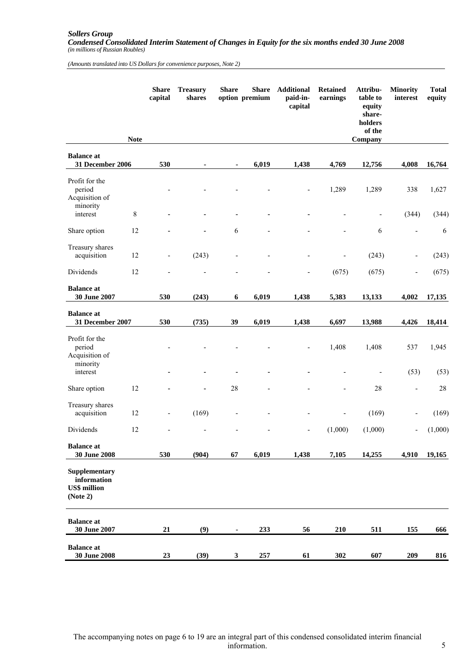#### *Sollers Group Condensed Consolidated Interim Statement of Changes in Equity for the six months ended 30 June 2008 (in millions of Russian Roubles)*

*(Amounts translated into US Dollars for convenience purposes, Note 2)*

|                                                                 | <b>Note</b> | <b>Share</b><br>capital | <b>Treasury</b><br>shares | <b>Share</b> | <b>Share</b><br>option premium | <b>Additional</b><br>paid-in-<br>capital | <b>Retained</b><br>earnings | Attribu-<br>table to<br>equity<br>share-<br>holders<br>of the<br>Company | <b>Minority</b><br>interest  | <b>Total</b><br>equity |
|-----------------------------------------------------------------|-------------|-------------------------|---------------------------|--------------|--------------------------------|------------------------------------------|-----------------------------|--------------------------------------------------------------------------|------------------------------|------------------------|
| <b>Balance</b> at                                               |             |                         |                           |              |                                |                                          |                             |                                                                          |                              |                        |
| 31 December 2006                                                |             | 530                     |                           |              | 6,019                          | 1,438                                    | 4,769                       | 12,756                                                                   | 4,008                        | 16,764                 |
| Profit for the<br>period<br>Acquisition of<br>minority          |             |                         |                           |              |                                |                                          | 1,289                       | 1,289                                                                    | 338                          | 1,627                  |
| interest                                                        | 8           |                         |                           |              |                                |                                          |                             | $\overline{\phantom{0}}$                                                 | (344)                        | (344)                  |
| Share option                                                    | 12          |                         |                           | 6            |                                |                                          |                             | 6                                                                        | L,                           | 6                      |
| Treasury shares<br>acquisition                                  | 12          |                         | (243)                     |              |                                |                                          |                             | (243)                                                                    | $\overline{\phantom{0}}$     | (243)                  |
| Dividends                                                       | 12          |                         |                           |              |                                | ٠                                        | (675)                       | (675)                                                                    | $\overline{\phantom{0}}$     | (675)                  |
| <b>Balance</b> at<br>30 June 2007                               |             | 530                     | (243)                     | 6            | 6,019                          | 1,438                                    | 5,383                       | 13,133                                                                   | 4,002                        | 17,135                 |
| <b>Balance</b> at<br>31 December 2007                           |             | 530                     | (735)                     | 39           | 6,019                          | 1,438                                    | 6,697                       | 13,988                                                                   | 4,426                        | 18,414                 |
| Profit for the<br>period<br>Acquisition of<br>minority          |             |                         |                           |              |                                |                                          | 1,408                       | 1,408                                                                    | 537                          | 1,945                  |
| interest                                                        |             |                         |                           |              |                                |                                          |                             |                                                                          | (53)                         | (53)                   |
| Share option                                                    | 12          |                         |                           | 28           |                                |                                          |                             | 28                                                                       | $\qquad \qquad \blacksquare$ | 28                     |
| Treasury shares<br>acquisition                                  | 12          |                         | (169)                     |              |                                |                                          |                             | (169)                                                                    | -                            | (169)                  |
| Dividends                                                       | 12          |                         |                           |              |                                | $\overline{\phantom{0}}$                 | (1,000)                     | (1,000)                                                                  | $\overline{\phantom{0}}$     | (1,000)                |
| <b>Balance</b> at<br>30 June 2008                               |             | 530                     | (904)                     | 67           | 6,019                          | 1,438                                    | 7,105                       | 14,255                                                                   | 4,910                        | 19,165                 |
| Supplementary<br>information<br><b>US\$</b> million<br>(Note 2) |             |                         |                           |              |                                |                                          |                             |                                                                          |                              |                        |
| <b>Balance</b> at<br>30 June 2007                               |             | 21                      | (9)                       |              | 233                            | 56                                       | 210                         | 511                                                                      | 155                          | 666                    |
| <b>Balance</b> at<br>30 June 2008                               |             | 23                      | (39)                      | 3            | 257                            | 61                                       | 302                         | 607                                                                      | 209                          | 816                    |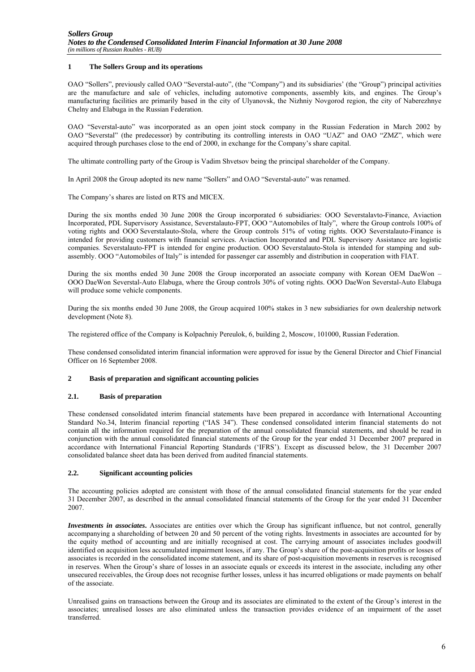# **1 The Sollers Group and its operations**

OAO "Sollers", previously called OAO "Severstal-auto", (the "Company") and its subsidiaries' (the "Group") principal activities are the manufacture and sale of vehicles, including automotive components, assembly kits, and engines. The Group's manufacturing facilities are primarily based in the city of Ulyanovsk, the Nizhniy Novgorod region, the city of Naberezhnye Chelny and Elabuga in the Russian Federation.

OAO "Severstal-auto" was incorporated as an open joint stock company in the Russian Federation in March 2002 by OAO "Severstal" (the predecessor) by contributing its controlling interests in OAO "UAZ" and OAO "ZMZ", which were acquired through purchases close to the end of 2000, in exchange for the Company's share capital.

The ultimate controlling party of the Group is Vadim Shvetsov being the principal shareholder of the Company.

In April 2008 the Group adopted its new name "Sollers" and OAO "Severstal-auto" was renamed.

The Company's shares are listed on RTS and MICEX.

During the six months ended 30 June 2008 the Group incorporated 6 subsidiaries: OOO Severstalavto-Finance, Aviaction Incorporated, PDL Supervisory Assistance, Severstalauto-FPT, OOO "Automobiles of Italy", where the Group controls 100% of voting rights and OOO Severstalauto-Stola, where the Group controls 51% of voting rights. OOO Severstalauto-Finance is intended for providing customers with financial services. Aviaction Incorporated and PDL Supervisory Assistance are logistic companies. Severstalauto-FPT is intended for engine production. OOO Severstalauto-Stola is intended for stamping and subassembly. OOO "Automobiles of Italy" is intended for passenger car assembly and distribution in cooperation with FIAT.

During the six months ended 30 June 2008 the Group incorporated an associate company with Korean OEM DaeWon – OOO DaeWon Severstal-Auto Elabuga, where the Group controls 30% of voting rights. OOO DaeWon Severstal-Auto Elabuga will produce some vehicle components.

During the six months ended 30 June 2008, the Group acquired 100% stakes in 3 new subsidiaries for own dealership network development (Note 8).

The registered office of the Company is Kolpachniy Pereulok, 6, building 2, Moscow, 101000, Russian Federation.

These condensed consolidated interim financial information were approved for issue by the General Director and Chief Financial Officer on 16 September 2008.

# **2 Basis of preparation and significant accounting policies**

# **2.1. Basis of preparation**

These condensed consolidated interim financial statements have been prepared in accordance with International Accounting Standard No.34, Interim financial reporting ("IAS 34"). These condensed consolidated interim financial statements do not contain all the information required for the preparation of the annual consolidated financial statements, and should be read in conjunction with the annual consolidated financial statements of the Group for the year ended 31 December 2007 prepared in accordance with International Financial Reporting Standards ('IFRS'). Except as discussed below, the 31 December 2007 consolidated balance sheet data has been derived from audited financial statements.

# **2.2. Significant accounting policies**

The accounting policies adopted are consistent with those of the annual consolidated financial statements for the year ended 31 December 2007, as described in the annual consolidated financial statements of the Group for the year ended 31 December 2007.

*Investments in associates***.** Associates are entities over which the Group has significant influence, but not control, generally accompanying a shareholding of between 20 and 50 percent of the voting rights. Investments in associates are accounted for by the equity method of accounting and are initially recognised at cost. The carrying amount of associates includes goodwill identified on acquisition less accumulated impairment losses, if any. The Group's share of the post-acquisition profits or losses of associates is recorded in the consolidated income statement, and its share of post-acquisition movements in reserves is recognised in reserves. When the Group's share of losses in an associate equals or exceeds its interest in the associate, including any other unsecured receivables, the Group does not recognise further losses, unless it has incurred obligations or made payments on behalf of the associate.

Unrealised gains on transactions between the Group and its associates are eliminated to the extent of the Group's interest in the associates; unrealised losses are also eliminated unless the transaction provides evidence of an impairment of the asset transferred.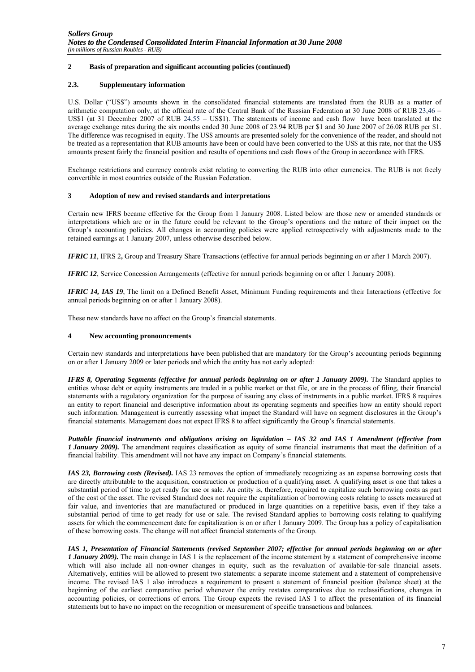# **2 Basis of preparation and significant accounting policies (continued)**

# **2.3. Supplementary information**

U.S. Dollar ("US\$") amounts shown in the consolidated financial statements are translated from the RUB as a matter of arithmetic computation only, at the official rate of the Central Bank of the Russian Federation at 30 June 2008 of RUB 23.46  $=$ US\$1 (at 31 December 2007 of RUB 24,55 = US\$1). The statements of income and cash flow have been translated at the average exchange rates during the six months ended 30 June 2008 of 23.94 RUB per \$1 and 30 June 2007 of 26.08 RUB per \$1. The difference was recognised in equity. The US\$ amounts are presented solely for the convenience of the reader, and should not be treated as a representation that RUB amounts have been or could have been converted to the US\$ at this rate, nor that the US\$ amounts present fairly the financial position and results of operations and cash flows of the Group in accordance with IFRS.

Exchange restrictions and currency controls exist relating to converting the RUB into other currencies. The RUB is not freely convertible in most countries outside of the Russian Federation.

#### **3 Adoption of new and revised standards and interpretations**

Certain new IFRS became effective for the Group from 1 January 2008. Listed below are those new or amended standards or interpretations which are or in the future could be relevant to the Group's operations and the nature of their impact on the Group's accounting policies. All changes in accounting policies were applied retrospectively with adjustments made to the retained earnings at 1 January 2007, unless otherwise described below.

*IFRIC 11*, IFRS 2**,** Group and Treasury Share Transactions (effective for annual periods beginning on or after 1 March 2007).

*IFRIC 12*, Service Concession Arrangements (effective for annual periods beginning on or after 1 January 2008).

*IFRIC 14, IAS 19*, The limit on a Defined Benefit Asset, Minimum Funding requirements and their Interactions (effective for annual periods beginning on or after 1 January 2008).

These new standards have no affect on the Group's financial statements.

### **4 New accounting pronouncements**

Certain new standards and interpretations have been published that are mandatory for the Group's accounting periods beginning on or after 1 January 2009 or later periods and which the entity has not early adopted:

*IFRS 8, Operating Segments (effective for annual periods beginning on or after 1 January 2009).* The Standard applies to entities whose debt or equity instruments are traded in a public market or that file, or are in the process of filing, their financial statements with a regulatory organization for the purpose of issuing any class of instruments in a public market. IFRS 8 requires an entity to report financial and descriptive information about its operating segments and specifies how an entity should report such information. Management is currently assessing what impact the Standard will have on segment disclosures in the Group's financial statements. Management does not expect IFRS 8 to affect significantly the Group's financial statements.

*Puttable financial instruments and obligations arising on liquidation – IAS 32 and IAS 1 Amendment (effective from 1 January 2009).* The amendment requires classification as equity of some financial instruments that meet the definition of a financial liability. This amendment will not have any impact on Company's financial statements.

*IAS 23, Borrowing costs (Revised).* IAS 23 removes the option of immediately recognizing as an expense borrowing costs that are directly attributable to the acquisition, construction or production of a qualifying asset. A qualifying asset is one that takes a substantial period of time to get ready for use or sale. An entity is, therefore, required to capitalize such borrowing costs as part of the cost of the asset. The revised Standard does not require the capitalization of borrowing costs relating to assets measured at fair value, and inventories that are manufactured or produced in large quantities on a repetitive basis, even if they take a substantial period of time to get ready for use or sale. The revised Standard applies to borrowing costs relating to qualifying assets for which the commencement date for capitalization is on or after 1 January 2009. The Group has a policy of capitalisation of these borrowing costs. The change will not affect financial statements of the Group.

*IAS 1, Presentation of Financial Statements (revised September 2007; effective for annual periods beginning on or after 1 January 2009).* The main change in IAS 1 is the replacement of the income statement by a statement of comprehensive income which will also include all non-owner changes in equity, such as the revaluation of available-for-sale financial assets. Alternatively, entities will be allowed to present two statements: a separate income statement and a statement of comprehensive income. The revised IAS 1 also introduces a requirement to present a statement of financial position (balance sheet) at the beginning of the earliest comparative period whenever the entity restates comparatives due to reclassifications, changes in accounting policies, or corrections of errors. The Group expects the revised IAS 1 to affect the presentation of its financial statements but to have no impact on the recognition or measurement of specific transactions and balances.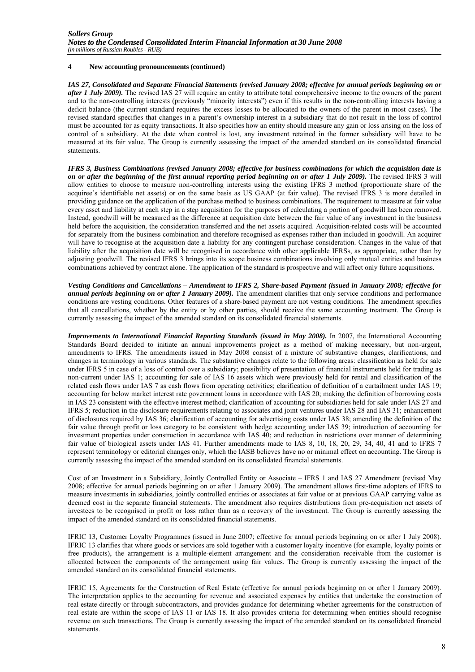#### **4 New accounting pronouncements (continued)**

*IAS 27, Consolidated and Separate Financial Statements (revised January 2008; effective for annual periods beginning on or after 1 July 2009).* The revised IAS 27 will require an entity to attribute total comprehensive income to the owners of the parent and to the non-controlling interests (previously "minority interests") even if this results in the non-controlling interests having a deficit balance (the current standard requires the excess losses to be allocated to the owners of the parent in most cases). The revised standard specifies that changes in a parent's ownership interest in a subsidiary that do not result in the loss of control must be accounted for as equity transactions. It also specifies how an entity should measure any gain or loss arising on the loss of control of a subsidiary. At the date when control is lost, any investment retained in the former subsidiary will have to be measured at its fair value. The Group is currently assessing the impact of the amended standard on its consolidated financial statements.

*IFRS 3, Business Combinations (revised January 2008; effective for business combinations for which the acquisition date is on or after the beginning of the first annual reporting period beginning on or after 1 July 2009).* The revised IFRS 3 will allow entities to choose to measure non-controlling interests using the existing IFRS 3 method (proportionate share of the acquiree's identifiable net assets) or on the same basis as US GAAP (at fair value). The revised IFRS 3 is more detailed in providing guidance on the application of the purchase method to business combinations. The requirement to measure at fair value every asset and liability at each step in a step acquisition for the purposes of calculating a portion of goodwill has been removed. Instead, goodwill will be measured as the difference at acquisition date between the fair value of any investment in the business held before the acquisition, the consideration transferred and the net assets acquired. Acquisition-related costs will be accounted for separately from the business combination and therefore recognised as expenses rather than included in goodwill. An acquirer will have to recognise at the acquisition date a liability for any contingent purchase consideration. Changes in the value of that liability after the acquisition date will be recognised in accordance with other applicable IFRSs, as appropriate, rather than by adjusting goodwill. The revised IFRS 3 brings into its scope business combinations involving only mutual entities and business combinations achieved by contract alone. The application of the standard is prospective and will affect only future acquisitions.

*Vesting Conditions and Cancellations – Amendment to IFRS 2, Share-based Payment (issued in January 2008; effective for annual periods beginning on or after 1 January 2009).* The amendment clarifies that only service conditions and performance conditions are vesting conditions. Other features of a share-based payment are not vesting conditions. The amendment specifies that all cancellations, whether by the entity or by other parties, should receive the same accounting treatment. The Group is currently assessing the impact of the amended standard on its consolidated financial statements.

*Improvements to International Financial Reporting Standards (issued in May 2008).* In 2007, the International Accounting Standards Board decided to initiate an annual improvements project as a method of making necessary, but non-urgent, amendments to IFRS. The amendments issued in May 2008 consist of a mixture of substantive changes, clarifications, and changes in terminology in various standards. The substantive changes relate to the following areas: classification as held for sale under IFRS 5 in case of a loss of control over a subsidiary; possibility of presentation of financial instruments held for trading as non-current under IAS 1; accounting for sale of IAS 16 assets which were previously held for rental and classification of the related cash flows under IAS 7 as cash flows from operating activities; clarification of definition of a curtailment under IAS 19; accounting for below market interest rate government loans in accordance with IAS 20; making the definition of borrowing costs in IAS 23 consistent with the effective interest method; clarification of accounting for subsidiaries held for sale under IAS 27 and IFRS 5; reduction in the disclosure requirements relating to associates and joint ventures under IAS 28 and IAS 31; enhancement of disclosures required by IAS 36; clarification of accounting for advertising costs under IAS 38; amending the definition of the fair value through profit or loss category to be consistent with hedge accounting under IAS 39; introduction of accounting for investment properties under construction in accordance with IAS 40; and reduction in restrictions over manner of determining fair value of biological assets under IAS 41. Further amendments made to IAS 8, 10, 18, 20, 29, 34, 40, 41 and to IFRS 7 represent terminology or editorial changes only, which the IASB believes have no or minimal effect on accounting. The Group is currently assessing the impact of the amended standard on its consolidated financial statements.

Cost of an Investment in a Subsidiary, Jointly Controlled Entity or Associate – IFRS 1 and IAS 27 Amendment (revised May 2008; effective for annual periods beginning on or after 1 January 2009). The amendment allows first-time adopters of IFRS to measure investments in subsidiaries, jointly controlled entities or associates at fair value or at previous GAAP carrying value as deemed cost in the separate financial statements. The amendment also requires distributions from pre-acquisition net assets of investees to be recognised in profit or loss rather than as a recovery of the investment. The Group is currently assessing the impact of the amended standard on its consolidated financial statements.

IFRIC 13, Customer Loyalty Programmes (issued in June 2007; effective for annual periods beginning on or after 1 July 2008). IFRIC 13 clarifies that where goods or services are sold together with a customer loyalty incentive (for example, loyalty points or free products), the arrangement is a multiple-element arrangement and the consideration receivable from the customer is allocated between the components of the arrangement using fair values. The Group is currently assessing the impact of the amended standard on its consolidated financial statements.

IFRIC 15, Agreements for the Construction of Real Estate (effective for annual periods beginning on or after 1 January 2009). The interpretation applies to the accounting for revenue and associated expenses by entities that undertake the construction of real estate directly or through subcontractors, and provides guidance for determining whether agreements for the construction of real estate are within the scope of IAS 11 or IAS 18. It also provides criteria for determining when entities should recognise revenue on such transactions. The Group is currently assessing the impact of the amended standard on its consolidated financial statements.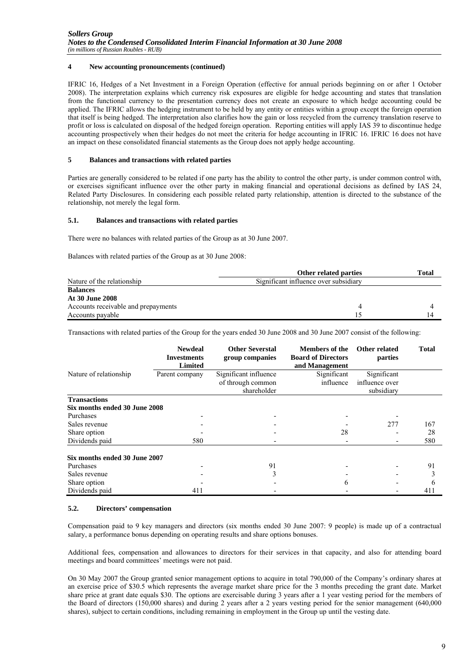# **4 New accounting pronouncements (continued)**

IFRIC 16, Hedges of a Net Investment in a Foreign Operation (effective for annual periods beginning on or after 1 October 2008). The interpretation explains which currency risk exposures are eligible for hedge accounting and states that translation from the functional currency to the presentation currency does not create an exposure to which hedge accounting could be applied. The IFRIC allows the hedging instrument to be held by any entity or entities within a group except the foreign operation that itself is being hedged. The interpretation also clarifies how the gain or loss recycled from the currency translation reserve to profit or loss is calculated on disposal of the hedged foreign operation. Reporting entities will apply IAS 39 to discontinue hedge accounting prospectively when their hedges do not meet the criteria for hedge accounting in IFRIC 16. IFRIC 16 does not have an impact on these consolidated financial statements as the Group does not apply hedge accounting.

# **5 Balances and transactions with related parties**

Parties are generally considered to be related if one party has the ability to control the other party, is under common control with, or exercises significant influence over the other party in making financial and operational decisions as defined by IAS 24, Related Party Disclosures. In considering each possible related party relationship, attention is directed to the substance of the relationship, not merely the legal form.

#### **5.1. Balances and transactions with related parties**

There were no balances with related parties of the Group as at 30 June 2007.

Balances with related parties of the Group as at 30 June 2008:

|                                     | Other related parties                 | Total |
|-------------------------------------|---------------------------------------|-------|
| Nature of the relationship          | Significant influence over subsidiary |       |
| <b>Balances</b>                     |                                       |       |
| <b>At 30 June 2008</b>              |                                       |       |
| Accounts receivable and prepayments |                                       |       |
| Accounts payable                    |                                       |       |

Transactions with related parties of the Group for the years ended 30 June 2008 and 30 June 2007 consist of the following:

|                               | <b>Newdeal</b><br><b>Investments</b><br><b>Limited</b> | <b>Other Severstal</b><br>group companies                 | <b>Members of the</b><br><b>Board of Directors</b><br>and Management | Other related<br>parties                    | <b>Total</b> |
|-------------------------------|--------------------------------------------------------|-----------------------------------------------------------|----------------------------------------------------------------------|---------------------------------------------|--------------|
| Nature of relationship        | Parent company                                         | Significant influence<br>of through common<br>shareholder | Significant<br>influence                                             | Significant<br>influence over<br>subsidiary |              |
| <b>Transactions</b>           |                                                        |                                                           |                                                                      |                                             |              |
| Six months ended 30 June 2008 |                                                        |                                                           |                                                                      |                                             |              |
| Purchases                     |                                                        |                                                           |                                                                      |                                             |              |
| Sales revenue                 |                                                        |                                                           |                                                                      | 277                                         | 167          |
| Share option                  |                                                        |                                                           | 28                                                                   |                                             | 28           |
| Dividends paid                | 580                                                    |                                                           |                                                                      |                                             | 580          |
| Six months ended 30 June 2007 |                                                        |                                                           |                                                                      |                                             |              |
| Purchases                     |                                                        | 91                                                        |                                                                      |                                             | 91           |
| Sales revenue                 |                                                        |                                                           |                                                                      |                                             |              |
| Share option                  |                                                        |                                                           | h.                                                                   |                                             | h            |
| Dividends paid                | 411                                                    |                                                           |                                                                      |                                             | 411          |

#### **5.2. Directors' compensation**

Compensation paid to 9 key managers and directors (six months ended 30 June 2007: 9 people) is made up of a contractual salary, a performance bonus depending on operating results and share options bonuses.

Additional fees, compensation and allowances to directors for their services in that capacity, and also for attending board meetings and board committees' meetings were not paid.

On 30 May 2007 the Group granted senior management options to acquire in total 790,000 of the Company's ordinary shares at an exercise price of \$30.5 which represents the average market share price for the 3 months preceding the grant date. Market share price at grant date equals \$30. The options are exercisable during 3 years after a 1 year vesting period for the members of the Board of directors (150,000 shares) and during 2 years after a 2 years vesting period for the senior management (640,000 shares), subject to certain conditions, including remaining in employment in the Group up until the vesting date.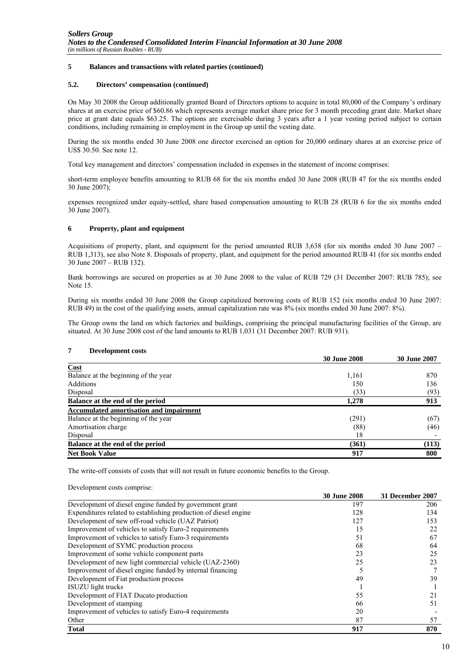# **5 Balances and transactions with related parties (continued)**

#### **5.2. Directors' compensation (continued)**

On May 30 2008 the Group additionally granted Board of Directors options to acquire in total 80,000 of the Company's ordinary shares at an exercise price of \$60.86 which represents average market share price for 3 month preceding grant date. Market share price at grant date equals \$63.25. The options are exercisable during 3 years after a 1 year vesting period subject to certain conditions, including remaining in employment in the Group up until the vesting date.

During the six months ended 30 June 2008 one director exercised an option for 20,000 ordinary shares at an exercise price of US\$ 30.50. See note 12.

Total key management and directors' compensation included in expenses in the statement of income comprises:

short-term employee benefits amounting to RUB 68 for the six months ended 30 June 2008 (RUB 47 for the six months ended 30 June 2007);

expenses recognized under equity-settled, share based compensation amounting to RUB 28 (RUB 6 for the six months ended 30 June 2007).

#### **6 Property, plant and equipment**

Acquisitions of property, plant, and equipment for the period amounted RUB 3,638 (for six months ended 30 June 2007 – RUB 1,313), see also Note 8. Disposals of property, plant, and equipment for the period amounted RUB 41 (for six months ended 30 June 2007 – RUB 132).

Bank borrowings are secured on properties as at 30 June 2008 to the value of RUB 729 (31 December 2007: RUB 785); see Note 15.

During six months ended 30 June 2008 the Group capitalized borrowing costs of RUB 152 (six months ended 30 June 2007: RUB 49) in the cost of the qualifying assets, annual capitalization rate was 8% (six months ended 30 June 2007: 8%).

The Group owns the land on which factories and buildings, comprising the principal manufacturing facilities of the Group, are situated. At 30 June 2008 cost of the land amounts to RUB 1,031 (31 December 2007: RUB 931).

#### **7 Development costs**

|                                                | <b>30 June 2008</b> | <b>30 June 2007</b> |
|------------------------------------------------|---------------------|---------------------|
| Cost                                           |                     |                     |
| Balance at the beginning of the year           | 1,161               | 870                 |
| Additions                                      | 150                 | 136                 |
| Disposal                                       | (33)                | (93)                |
| Balance at the end of the period               | 1,278               | 913                 |
| <b>Accumulated amortisation and impairment</b> |                     |                     |
| Balance at the beginning of the year           | (291)               | (67)                |
| Amortisation charge                            | (88)                | (46)                |
| Disposal                                       | 18                  |                     |
| Balance at the end of the period               | (361)               | (113)               |
| <b>Net Book Value</b>                          | 917                 | 800                 |

The write-off consists of costs that will not result in future economic benefits to the Group.

Development costs comprise:

|                                                                  | JU JUNE ZUVO | 31 December 2007 |
|------------------------------------------------------------------|--------------|------------------|
| Development of diesel engine funded by government grant          | 197          | 206              |
| Expenditures related to establishing production of diesel engine | 128          | 134              |
| Development of new off-road vehicle (UAZ Patriot)                | 127          | 153              |
| Improvement of vehicles to satisfy Euro-2 requirements           | 15           | 22               |
| Improvement of vehicles to satisfy Euro-3 requirements           | 51           | 67               |
| Development of SYMC production process                           | 68           | 64               |
| Improvement of some vehicle component parts                      | 23           | 25               |
| Development of new light commercial vehicle (UAZ-2360)           | 25           | 23               |
| Improvement of diesel engine funded by internal financing        |              |                  |
| Development of Fiat production process                           | 49           | 39               |
| <b>ISUZU</b> light trucks                                        |              |                  |
| Development of FIAT Ducato production                            | 55           | 21               |
| Development of stamping                                          | 66           | 51               |
| Improvement of vehicles to satisfy Euro-4 requirements           | 20           |                  |
| Other                                                            | 87           | 57               |
| <b>Total</b>                                                     | 917          | 870              |

**30 June 2008 31 December 2007**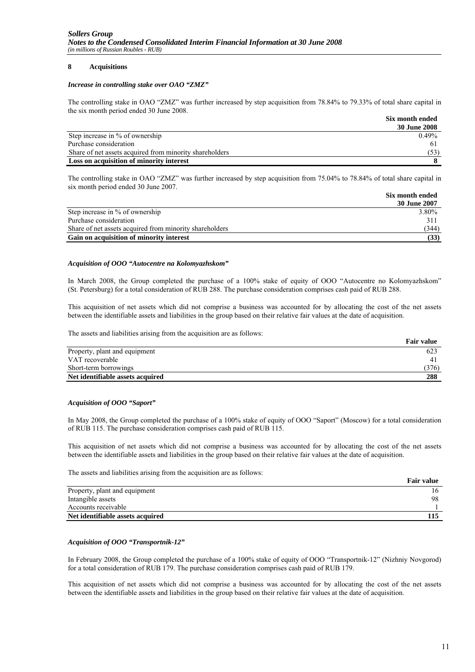# **8 Acquisitions**

#### *Increase in controlling stake over OAO "ZMZ"*

The controlling stake in OAO "ZMZ" was further increased by step acquisition from 78.84% to 79.33% of total share capital in the six month period ended 30 June 2008.

|                                                         | Six month ended |
|---------------------------------------------------------|-----------------|
|                                                         | 30 June 2008    |
| Step increase in % of ownership                         | $0.49\%$        |
| Purchase consideration                                  |                 |
| Share of net assets acquired from minority shareholders | (53)            |
| Loss on acquisition of minority interest                |                 |

The controlling stake in OAO "ZMZ" was further increased by step acquisition from 75.04% to 78.84% of total share capital in six month period ended 30 June 2007.

|                                                         | Six month ended |
|---------------------------------------------------------|-----------------|
|                                                         | 30 June 2007    |
| Step increase in % of ownership                         | 3.80%           |
| Purchase consideration                                  | $31^{\circ}$    |
| Share of net assets acquired from minority shareholders | (344)           |
| Gain on acquisition of minority interest                | (33)            |

#### *Acquisition of OOO "Autocentre na Kolomyazhskom"*

In March 2008, the Group completed the purchase of a 100% stake of equity of OOO "Autocentre no Kolomyazhskom" (St. Petersburg) for a total consideration of RUB 288. The purchase consideration comprises cash paid of RUB 288.

This acquisition of net assets which did not comprise a business was accounted for by allocating the cost of the net assets between the identifiable assets and liabilities in the group based on their relative fair values at the date of acquisition.

The assets and liabilities arising from the acquisition are as follows:

|                                  | <b>Fair value</b> |
|----------------------------------|-------------------|
| Property, plant and equipment    | 623               |
| VAT recoverable                  |                   |
| Short-term borrowings            | (376)             |
| Net identifiable assets acquired | 288               |

#### *Acquisition of OOO "Saport"*

In May 2008, the Group completed the purchase of a 100% stake of equity of OOO "Saport" (Moscow) for a total consideration of RUB 115. The purchase consideration comprises cash paid of RUB 115.

This acquisition of net assets which did not comprise a business was accounted for by allocating the cost of the net assets between the identifiable assets and liabilities in the group based on their relative fair values at the date of acquisition.

The assets and liabilities arising from the acquisition are as follows:

|                                  | <b>Fair value</b> |
|----------------------------------|-------------------|
| Property, plant and equipment    |                   |
| Intangible assets                | 98                |
| Accounts receivable              |                   |
| Net identifiable assets acquired | 115               |

#### *Acquisition of OOO "Transportnik-12"*

In February 2008, the Group completed the purchase of a 100% stake of equity of OOO "Transportnik-12" (Nizhniy Novgorod) for a total consideration of RUB 179. The purchase consideration comprises cash paid of RUB 179.

This acquisition of net assets which did not comprise a business was accounted for by allocating the cost of the net assets between the identifiable assets and liabilities in the group based on their relative fair values at the date of acquisition.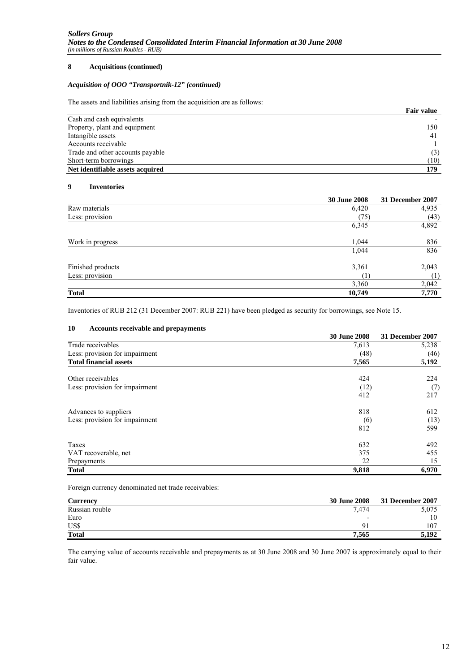#### **8 Acquisitions (continued)**

# *Acquisition of OOO "Transportnik-12" (continued)*

The assets and liabilities arising from the acquisition are as follows:

|                                  | <b>Fair value</b> |
|----------------------------------|-------------------|
| Cash and cash equivalents        |                   |
| Property, plant and equipment    | 150               |
| Intangible assets                | 41                |
| Accounts receivable              |                   |
| Trade and other accounts payable | (3)               |
| Short-term borrowings            | (10)              |
| Net identifiable assets acquired | 179               |

# **9 Inventories**

|                   | <b>30 June 2008</b> | 31 December 2007 |
|-------------------|---------------------|------------------|
| Raw materials     | 6,420               | 4,935            |
| Less: provision   | (75)                | (43)             |
|                   | 6,345               | 4,892            |
| Work in progress  | 1,044               | 836              |
|                   | 1,044               | 836              |
| Finished products | 3,361               | 2,043            |
| Less: provision   | (1                  | $^{(1)}$         |
|                   | 3,360               | 2,042            |
| <b>Total</b>      | 10,749              | 7,770            |

Inventories of RUB 212 (31 December 2007: RUB 221) have been pledged as security for borrowings, see Note 15.

#### **10 Accounts receivable and prepayments**

|                                | <b>30 June 2008</b> | 31 December 2007 |
|--------------------------------|---------------------|------------------|
| Trade receivables              | 7,613               | 5,238            |
| Less: provision for impairment | (48)                | (46)             |
| <b>Total financial assets</b>  | 7,565               | 5,192            |
| Other receivables              | 424                 | 224              |
| Less: provision for impairment | (12)                | (7)              |
|                                | 412                 | 217              |
| Advances to suppliers          | 818                 | 612              |
| Less: provision for impairment | (6)                 | (13)             |
|                                | 812                 | 599              |
| Taxes                          | 632                 | 492              |
| VAT recoverable, net           | 375                 | 455              |
| Prepayments                    | 22                  | 15               |
| <b>Total</b>                   | 9,818               | 6,970            |

Foreign currency denominated net trade receivables:

| <b>Currency</b> | <b>30 June 2008</b>      | 31 December 2007 |
|-----------------|--------------------------|------------------|
| Russian rouble  | 7.474                    | 5,075            |
| Euro            | $\overline{\phantom{0}}$ | 10               |
| US\$            |                          | 107              |
| <b>Total</b>    | 7.565                    | 5.192            |

The carrying value of accounts receivable and prepayments as at 30 June 2008 and 30 June 2007 is approximately equal to their fair value.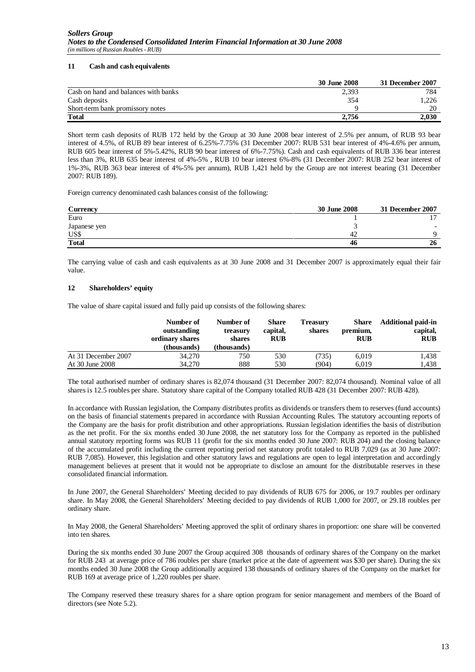# **11 Cash and cash equivalents**

|                                      | 30 June 2008 | 31 December 2007 |
|--------------------------------------|--------------|------------------|
| Cash on hand and balances with banks | 2,393        | 784              |
| Cash deposits                        | 354          | .226             |
| Short-term bank promissory notes     |              | 20               |
| <b>Total</b>                         | 2.756        | 2.030            |

Short term cash deposits of RUB 172 held by the Group at 30 June 2008 bear interest of 2.5% per annum, of RUB 93 bear interest of 4.5%, of RUB 89 bear interest of 6.25%-7.75% (31 December 2007: RUB 531 bear interest of 4%-4.6% per annum, RUB 605 bear interest of 5%-5.42%, RUB 90 bear interest of 6%-7.75%). Cash and cash equivalents of RUB 336 bear interest less than 3%, RUB 635 bear interest of 4%-5% , RUB 10 bear interest 6%-8% (31 December 2007: RUB 252 bear interest of 1%-3%, RUB 363 bear interest of 4%-5% per annum), RUB 1,421 held by the Group are not interest bearing (31 December 2007: RUB 189).

Foreign currency denominated cash balances consist of the following:

| <b>Currency</b> | 30 June 2008 | 31 December 2007 |
|-----------------|--------------|------------------|
| Euro            |              | $\mathbf{\tau}$  |
| Japanese yen    |              |                  |
| US\$            |              |                  |
| <b>Total</b>    | 46           | 26               |

The carrying value of cash and cash equivalents as at 30 June 2008 and 31 December 2007 is approximately equal their fair value.

# **12 Shareholders' equity**

The value of share capital issued and fully paid up consists of the following shares:

|                     | Number of<br>outstanding<br>ordinary shares<br>(thousands) | Number of<br>treasury<br>shares<br>(thousands) | Share<br>capital,<br><b>RUB</b> | <b>Treasury</b><br>shares | Share<br>premium,<br><b>RUB</b> | <b>Additional paid-in</b><br>capital,<br><b>RUB</b> |
|---------------------|------------------------------------------------------------|------------------------------------------------|---------------------------------|---------------------------|---------------------------------|-----------------------------------------------------|
| At 31 December 2007 | 34,270                                                     | 750                                            | 530                             | (735)                     | 6.019                           | 1.438                                               |
| At 30 June 2008     | 34.270                                                     | 888                                            | 530                             | (904)                     | 6.019                           | 1.438                                               |

The total authorised number of ordinary shares is 82,074 thousand (31 December 2007: 82,074 thousand). Nominal value of all shares is 12.5 roubles per share. Statutory share capital of the Company totalled RUB 428 (31 December 2007: RUB 428).

In accordance with Russian legislation, the Company distributes profits as dividends or transfers them to reserves (fund accounts) on the basis of financial statements prepared in accordance with Russian Accounting Rules. The statutory accounting reports of the Company are the basis for profit distribution and other appropriations. Russian legislation identifies the basis of distribution as the net profit. For the six months ended 30 June 2008, the net statutory loss for the Company as reported in the published annual statutory reporting forms was RUB 11 (profit for the six months ended 30 June 2007: RUB 204) and the closing balance of the accumulated profit including the current reporting period net statutory profit totaled to RUB 7,029 (as at 30 June 2007: RUB 7,085). However, this legislation and other statutory laws and regulations are open to legal interpretation and accordingly management believes at present that it would not be appropriate to disclose an amount for the distributable reserves in these consolidated financial information.

In June 2007, the General Shareholders' Meeting decided to pay dividends of RUB 675 for 2006, or 19.7 roubles per ordinary share. In May 2008, the General Shareholders' Meeting decided to pay dividends of RUB 1,000 for 2007, or 29.18 roubles per ordinary share.

In May 2008, the General Shareholders' Meeting approved the split of ordinary shares in proportion: one share will be converted into ten shares.

During the six months ended 30 June 2007 the Group acquired 308 thousands of ordinary shares of the Company on the market for RUB 243 at average price of 786 roubles per share (market price at the date of agreement was \$30 per share). During the six months ended 30 June 2008 the Group additionally acquired 138 thousands of ordinary shares of the Company on the market for RUB 169 at average price of 1,220 roubles per share.

The Company reserved these treasury shares for a share option program for senior management and members of the Board of directors (see Note 5.2).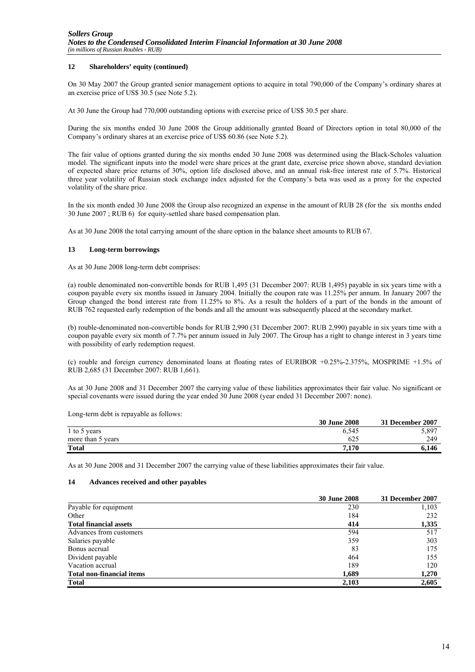# **12 Shareholders' equity (continued)**

On 30 May 2007 the Group granted senior management options to acquire in total 790,000 of the Company's ordinary shares at an exercise price of US\$ 30.5 (see Note 5.2).

At 30 June the Group had 770,000 outstanding options with exercise price of US\$ 30.5 per share.

During the six months ended 30 June 2008 the Group additionally granted Board of Directors option in total 80,000 of the Company's ordinary shares at an exercise price of US\$ 60.86 (see Note 5.2).

The fair value of options granted during the six months ended 30 June 2008 was determined using the Black-Scholes valuation model. The significant inputs into the model were share prices at the grant date, exercise price shown above, standard deviation of expected share price returns of 30%, option life disclosed above, and an annual risk-free interest rate of 5.7%. Historical three year volatility of Russian stock exchange index adjusted for the Company's beta was used as a proxy for the expected volatility of the share price.

In the six month ended 30 June 2008 the Group also recognized an expense in the amount of RUB 28 (for the six months ended 30 June 2007 ; RUB 6) for equity-settled share based compensation plan.

As at 30 June 2008 the total carrying amount of the share option in the balance sheet amounts to RUB 67.

#### **13 Long-term borrowings**

As at 30 June 2008 long-term debt comprises:

(a) rouble denominated non-convertible bonds for RUB 1,495 (31 December 2007: RUB 1,495) payable in six years time with a coupon payable every six months issued in January 2004. Initially the coupon rate was 11.25% per annum. In January 2007 the Group changed the bond interest rate from 11.25% to 8%. As a result the holders of a part of the bonds in the amount of RUB 762 requested early redemption of the bonds and all the amount was subsequently placed at the secondary market.

(b) rouble-denominated non-convertible bonds for RUB 2,990 (31 December 2007: RUB 2,990) payable in six years time with a coupon payable every six month of 7.7% per annum issued in July 2007. The Group has a right to change interest in 3 years time with possibility of early redemption request.

(c) rouble and foreign currency denominated loans at floating rates of EURIBOR +0.25%-2.375%, MOSPRIME +1.5% of RUB 2,685 (31 December 2007: RUB 1,661).

As at 30 June 2008 and 31 December 2007 the carrying value of these liabilities approximates their fair value. No significant or special covenants were issued during the year ended 30 June 2008 (year ended 31 December 2007: none).

Long-term debt is repayable as follows:

|                   | <b>30 June 2008</b> | 31 December 2007 |
|-------------------|---------------------|------------------|
| 1 to 5 years      | 6,545               | 5,897            |
| more than 5 years | 625                 | 249              |
| <b>Total</b>      | 7.170               | 6.146            |

As at 30 June 2008 and 31 December 2007 the carrying value of these liabilities approximates their fair value.

#### **14 Advances received and other payables**

| <b>30 June 2008</b> | 31 December 2007 |
|---------------------|------------------|
| 230                 | 1,103            |
| 184                 | 232              |
| 414                 | 1,335            |
| 594                 | 517              |
| 359                 | 303              |
| 83                  | 175              |
| 464                 | 155              |
| 189                 | 120              |
| 1,689               | 1,270            |
| 2,103               | 2,605            |
|                     |                  |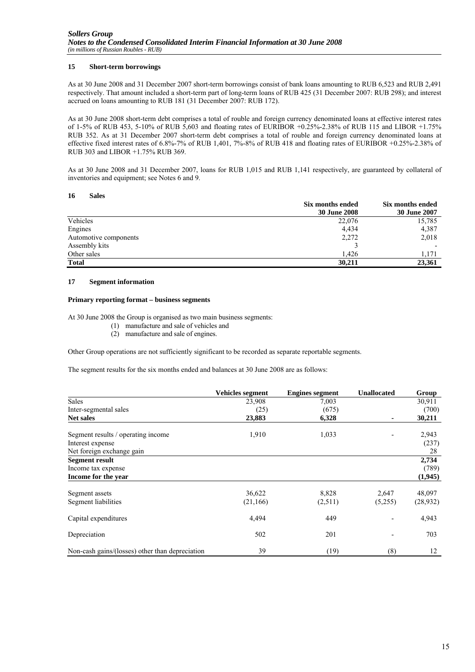# **15 Short-term borrowings**

As at 30 June 2008 and 31 December 2007 short-term borrowings consist of bank loans amounting to RUB 6,523 and RUB 2,491 respectively. That amount included a short-term part of long-term loans of RUB 425 (31 December 2007: RUB 298); and interest accrued on loans amounting to RUB 181 (31 December 2007: RUB 172).

As at 30 June 2008 short-term debt comprises a total of rouble and foreign currency denominated loans at effective interest rates of 1-5% of RUB 453, 5-10% of RUB 5,603 and floating rates of EURIBOR +0.25%-2.38% of RUB 115 and LIBOR +1.75% RUB 352. As at 31 December 2007 short-term debt comprises a total of rouble and foreign currency denominated loans at effective fixed interest rates of 6.8%-7% of RUB 1,401, 7%-8% of RUB 418 and floating rates of EURIBOR +0.25%-2.38% of RUB 303 and LIBOR +1.75% RUB 369.

As at 30 June 2008 and 31 December 2007, loans for RUB 1,015 and RUB 1,141 respectively, are guaranteed by collateral of inventories and equipment; see Notes 6 and 9.

#### **16 Sales**

|                       | Six months ended    | Six months ended |
|-----------------------|---------------------|------------------|
|                       | <b>30 June 2008</b> | 30 June 2007     |
| Vehicles              | 22,076              | 15,785           |
| Engines               | 4,434               | 4,387            |
| Automotive components | 2,272               | 2,018            |
| Assembly kits         |                     |                  |
| Other sales           | 1.426               | 1.171            |
| <b>Total</b>          | 30,211              | 23,361           |

#### **17 Segment information**

#### **Primary reporting format – business segments**

At 30 June 2008 the Group is organised as two main business segments:

- (1) manufacture and sale of vehicles and
- (2) manufacture and sale of engines.

Other Group operations are not sufficiently significant to be recorded as separate reportable segments.

The segment results for the six months ended and balances at 30 June 2008 are as follows:

|                                                 | Vehicles segment | <b>Engines segment</b> | <b>Unallocated</b> | Group     |
|-------------------------------------------------|------------------|------------------------|--------------------|-----------|
| Sales                                           | 23,908           | 7,003                  |                    | 30,911    |
| Inter-segmental sales                           | (25)             | (675)                  |                    | (700)     |
| <b>Net sales</b>                                | 23,883           | 6,328                  | ٠                  | 30,211    |
| Segment results / operating income              | 1,910            | 1,033                  |                    | 2,943     |
| Interest expense                                |                  |                        |                    | (237)     |
| Net foreign exchange gain                       |                  |                        |                    | 28        |
| <b>Segment result</b>                           |                  |                        |                    | 2,734     |
| Income tax expense                              |                  |                        |                    | (789)     |
| Income for the year                             |                  |                        |                    | (1,945)   |
| Segment assets                                  | 36,622           | 8,828                  | 2,647              | 48,097    |
| Segment liabilities                             | (21, 166)        | (2,511)                | (5,255)            | (28, 932) |
| Capital expenditures                            | 4,494            | 449                    |                    | 4,943     |
| Depreciation                                    | 502              | 201                    |                    | 703       |
| Non-cash gains/(losses) other than depreciation | 39               | (19)                   | (8)                | 12        |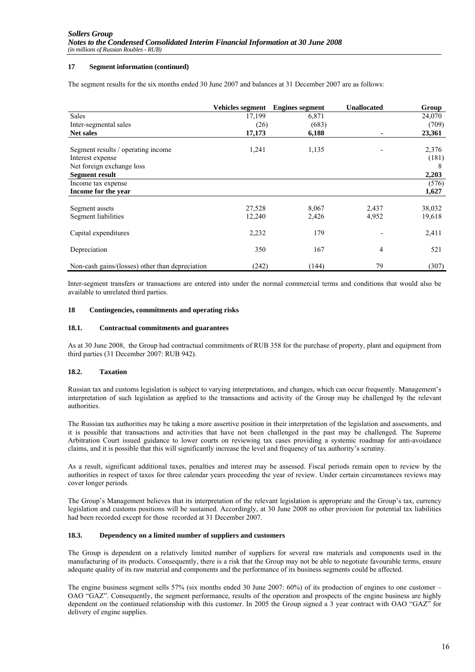### **17 Segment information (continued)**

The segment results for the six months ended 30 June 2007 and balances at 31 December 2007 are as follows:

|                                                 | <b>Vehicles segment</b> | <b>Engines segment</b> | <b>Unallocated</b> | Group  |
|-------------------------------------------------|-------------------------|------------------------|--------------------|--------|
| <b>Sales</b>                                    | 17,199                  | 6,871                  |                    | 24,070 |
| Inter-segmental sales                           | (26)                    | (683)                  |                    | (709)  |
| <b>Net sales</b>                                | 17,173                  | 6,188                  |                    | 23,361 |
| Segment results / operating income              | 1,241                   | 1,135                  |                    | 2,376  |
| Interest expense                                |                         |                        |                    | (181)  |
| Net foreign exchange loss                       |                         |                        |                    | 8      |
| Segment result                                  |                         |                        |                    | 2,203  |
| Income tax expense                              |                         |                        |                    | (576)  |
| Income for the year                             |                         |                        |                    | 1,627  |
|                                                 |                         |                        |                    |        |
| Segment assets                                  | 27,528                  | 8,067                  | 2,437              | 38,032 |
| Segment liabilities                             | 12,240                  | 2,426                  | 4,952              | 19,618 |
| Capital expenditures                            | 2,232                   | 179                    |                    | 2,411  |
| Depreciation                                    | 350                     | 167                    | 4                  | 521    |
| Non-cash gains/(losses) other than depreciation | (242)                   | (144)                  | 79                 | (307)  |

Inter-segment transfers or transactions are entered into under the normal commercial terms and conditions that would also be available to unrelated third parties.

#### **18 Contingencies, commitments and operating risks**

#### **18.1. Contractual commitments and guarantees**

As at 30 June 2008, the Group had contractual commitments of RUB 358 for the purchase of property, plant and equipment from third parties (31 December 2007: RUB 942).

#### **18.2. Taxation**

Russian tax and customs legislation is subject to varying interpretations, and changes, which can occur frequently. Management's interpretation of such legislation as applied to the transactions and activity of the Group may be challenged by the relevant authorities.

The Russian tax authorities may be taking a more assertive position in their interpretation of the legislation and assessments, and it is possible that transactions and activities that have not been challenged in the past may be challenged. The Supreme Arbitration Court issued guidance to lower courts on reviewing tax cases providing a systemic roadmap for anti-avoidance claims, and it is possible that this will significantly increase the level and frequency of tax authority's scrutiny.

As a result, significant additional taxes, penalties and interest may be assessed. Fiscal periods remain open to review by the authorities in respect of taxes for three calendar years proceeding the year of review. Under certain circumstances reviews may cover longer periods.

The Group's Management believes that its interpretation of the relevant legislation is appropriate and the Group's tax, currency legislation and customs positions will be sustained. Accordingly, at 30 June 2008 no other provision for potential tax liabilities had been recorded except for those recorded at 31 December 2007.

### **18.3. Dependency on a limited number of suppliers and customers**

The Group is dependent on a relatively limited number of suppliers for several raw materials and components used in the manufacturing of its products. Consequently, there is a risk that the Group may not be able to negotiate favourable terms, ensure adequate quality of its raw material and components and the performance of its business segments could be affected.

The engine business segment sells 57% (six months ended 30 June 2007: 60%) of its production of engines to one customer – OAO "GAZ". Consequently, the segment performance, results of the operation and prospects of the engine business are highly dependent on the continued relationship with this customer. In 2005 the Group signed a 3 year contract with OAO "GAZ" for delivery of engine supplies.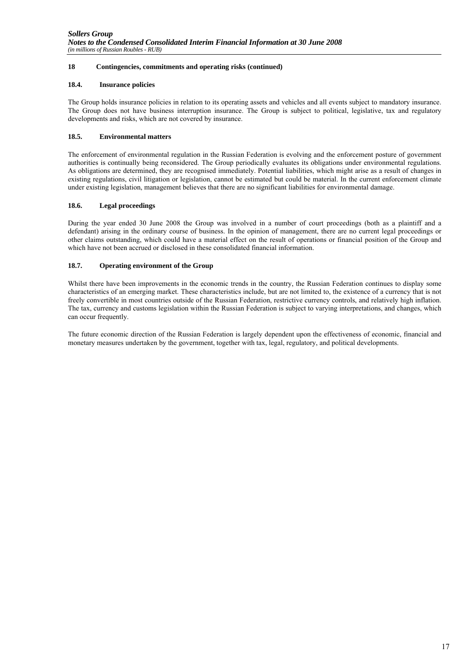# **18 Contingencies, commitments and operating risks (continued)**

# **18.4. Insurance policies**

The Group holds insurance policies in relation to its operating assets and vehicles and all events subject to mandatory insurance. The Group does not have business interruption insurance. The Group is subject to political, legislative, tax and regulatory developments and risks, which are not covered by insurance.

# **18.5. Environmental matters**

The enforcement of environmental regulation in the Russian Federation is evolving and the enforcement posture of government authorities is continually being reconsidered. The Group periodically evaluates its obligations under environmental regulations. As obligations are determined, they are recognised immediately. Potential liabilities, which might arise as a result of changes in existing regulations, civil litigation or legislation, cannot be estimated but could be material. In the current enforcement climate under existing legislation, management believes that there are no significant liabilities for environmental damage.

# **18.6. Legal proceedings**

During the year ended 30 June 2008 the Group was involved in a number of court proceedings (both as a plaintiff and a defendant) arising in the ordinary course of business. In the opinion of management, there are no current legal proceedings or other claims outstanding, which could have a material effect on the result of operations or financial position of the Group and which have not been accrued or disclosed in these consolidated financial information.

# **18.7. Operating environment of the Group**

Whilst there have been improvements in the economic trends in the country, the Russian Federation continues to display some characteristics of an emerging market. These characteristics include, but are not limited to, the existence of a currency that is not freely convertible in most countries outside of the Russian Federation, restrictive currency controls, and relatively high inflation. The tax, currency and customs legislation within the Russian Federation is subject to varying interpretations, and changes, which can occur frequently.

The future economic direction of the Russian Federation is largely dependent upon the effectiveness of economic, financial and monetary measures undertaken by the government, together with tax, legal, regulatory, and political developments.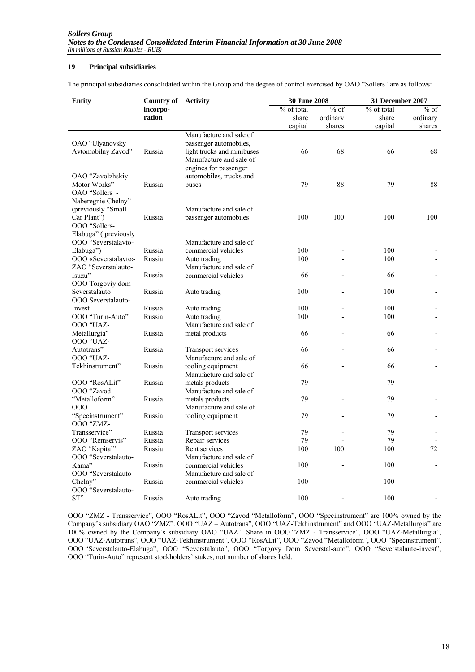# **19 Principal subsidiaries**

The principal subsidiaries consolidated within the Group and the degree of control exercised by OAO "Sollers" are as follows:

| <b>Entity</b>        | Country of | <b>Activity</b>            | 30 June 2008        |          | 31 December 2007 |          |
|----------------------|------------|----------------------------|---------------------|----------|------------------|----------|
|                      | incorpo-   |                            | $\sqrt{6}$ of total | $%$ of   | % of total       | $%$ of   |
|                      | ration     |                            | share               | ordinary | share            | ordinary |
|                      |            |                            | capital             | shares   | capital          | shares   |
|                      |            | Manufacture and sale of    |                     |          |                  |          |
| OAO "Ulyanovsky      |            | passenger automobiles,     |                     |          |                  |          |
| Avtomobilny Zavod"   | Russia     | light trucks and minibuses | 66                  | 68       | 66               | 68       |
|                      |            | Manufacture and sale of    |                     |          |                  |          |
|                      |            | engines for passenger      |                     |          |                  |          |
| OAO "Zavolzhskiy     |            | automobiles, trucks and    |                     |          |                  |          |
| Motor Works"         | Russia     | buses                      | 79                  | 88       | 79               | 88       |
| OAO "Sollers -       |            |                            |                     |          |                  |          |
| Naberegnie Chelny"   |            |                            |                     |          |                  |          |
| (previously "Small   |            | Manufacture and sale of    |                     |          |                  |          |
| Car Plant")          | Russia     | passenger automobiles      | 100                 | 100      | 100              | 100      |
| OOO "Sollers-        |            |                            |                     |          |                  |          |
| Elabuga" (previously |            |                            |                     |          |                  |          |
| OOO "Severstalavto-  |            | Manufacture and sale of    |                     |          |                  |          |
| Elabuga")            | Russia     | commercial vehicles        | 100                 |          | 100              |          |
| OOO «Severstalavto»  | Russia     | Auto trading               | 100                 |          | 100              |          |
| ZAO "Severstalauto-  |            | Manufacture and sale of    |                     |          |                  |          |
| Isuzu"               | Russia     | commercial vehicles        | 66                  |          | 66               |          |
| OOO Torgoviy dom     |            |                            |                     |          |                  |          |
| Severstalauto        | Russia     | Auto trading               | 100                 |          | 100              |          |
| OOO Severstalauto-   |            |                            |                     |          |                  |          |
| Invest               | Russia     | Auto trading               | 100                 |          | 100              |          |
| OOO "Turin-Auto"     | Russia     | Auto trading               | 100                 |          | 100              |          |
| OOO "UAZ-            |            | Manufacture and sale of    |                     |          |                  |          |
| Metallurgia"         | Russia     | metal products             | 66                  |          | 66               |          |
| OOO "UAZ-            |            |                            |                     |          |                  |          |
| Autotrans"           | Russia     | Transport services         | 66                  |          | 66               |          |
| OOO "UAZ-            |            | Manufacture and sale of    |                     |          |                  |          |
| Tekhinstrument"      | Russia     | tooling equipment          | 66                  |          | 66               |          |
|                      |            | Manufacture and sale of    |                     |          |                  |          |
| OOO "RosALit"        | Russia     | metals products            | 79                  |          | 79               |          |
| OOO "Zavod           |            | Manufacture and sale of    |                     |          |                  |          |
| "Metalloform"        | Russia     | metals products            | 79                  |          | 79               |          |
| 000                  |            | Manufacture and sale of    |                     |          |                  |          |
| "Specinstrument"     | Russia     | tooling equipment          | 79                  |          | 79               |          |
| OOO "ZMZ-            |            |                            |                     |          |                  |          |
| Transservice"        | Russia     | <b>Transport services</b>  | 79                  |          | 79               |          |
| OOO "Remservis"      | Russia     | Repair services            | 79                  |          | 79               |          |
| ZAO "Kapital"        | Russia     | Rent services              | 100                 | 100      | 100              | 72       |
| OOO "Severstalauto-  |            | Manufacture and sale of    |                     |          |                  |          |
| Kama"                | Russia     | commercial vehicles        | 100                 |          | 100              |          |
| OOO "Severstalauto-  |            | Manufacture and sale of    |                     |          |                  |          |
| Chelny"              | Russia     | commercial vehicles        | 100                 |          | 100              |          |
| OOO "Severstalauto-  |            |                            |                     |          |                  |          |
| ST"                  | Russia     | Auto trading               | 100                 |          | 100              |          |

OOO "ZMZ - Transservice", OOO "RosALit", OOO "Zavod "Metalloform", OOO "Specinstrument" are 100% owned by the Company's subsidiary OAO "ZMZ". OOO "UAZ – Autotrans", OOO "UAZ-Tekhinstrument" and OOO "UAZ-Metallurgia" are 100% owned by the Company's subsidiary OAO "UAZ". Share in OOO "ZMZ - Transservice", OOO "UAZ-Metallurgia", OOO "UAZ-Autotrans", OOO "UAZ-Tekhinstrument", OOO "RosALit", OOO "Zavod "Metalloform", OOO "Specinstrument", OOO "Severstalauto-Elabuga", OOO "Severstalauto", OOO "Torgovy Dom Severstal-auto", OOO "Severstalauto-invest", OOO "Turin-Auto" represent stockholders' stakes, not number of shares held.